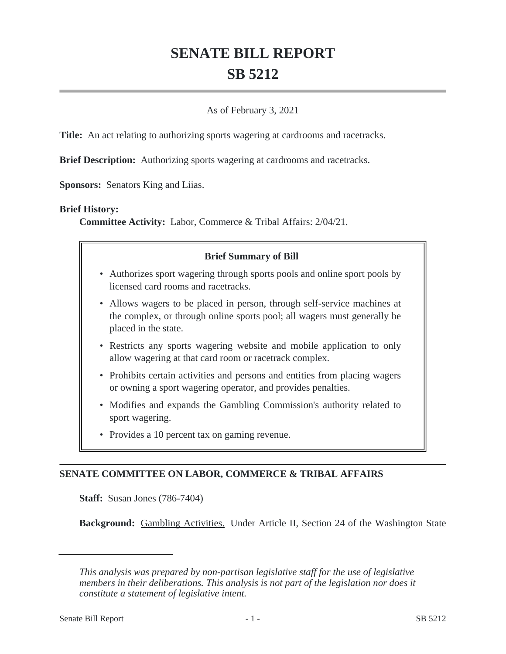# **SENATE BILL REPORT SB 5212**

## As of February 3, 2021

**Title:** An act relating to authorizing sports wagering at cardrooms and racetracks.

**Brief Description:** Authorizing sports wagering at cardrooms and racetracks.

**Sponsors:** Senators King and Liias.

#### **Brief History:**

**Committee Activity:** Labor, Commerce & Tribal Affairs: 2/04/21.

## **Brief Summary of Bill**

- Authorizes sport wagering through sports pools and online sport pools by licensed card rooms and racetracks.
- Allows wagers to be placed in person, through self-service machines at the complex, or through online sports pool; all wagers must generally be placed in the state.
- Restricts any sports wagering website and mobile application to only allow wagering at that card room or racetrack complex.
- Prohibits certain activities and persons and entities from placing wagers or owning a sport wagering operator, and provides penalties.
- Modifies and expands the Gambling Commission's authority related to sport wagering.
- Provides a 10 percent tax on gaming revenue.

# **SENATE COMMITTEE ON LABOR, COMMERCE & TRIBAL AFFAIRS**

**Staff:** Susan Jones (786-7404)

**Background:** Gambling Activities. Under Article II, Section 24 of the Washington State

*This analysis was prepared by non-partisan legislative staff for the use of legislative members in their deliberations. This analysis is not part of the legislation nor does it constitute a statement of legislative intent.*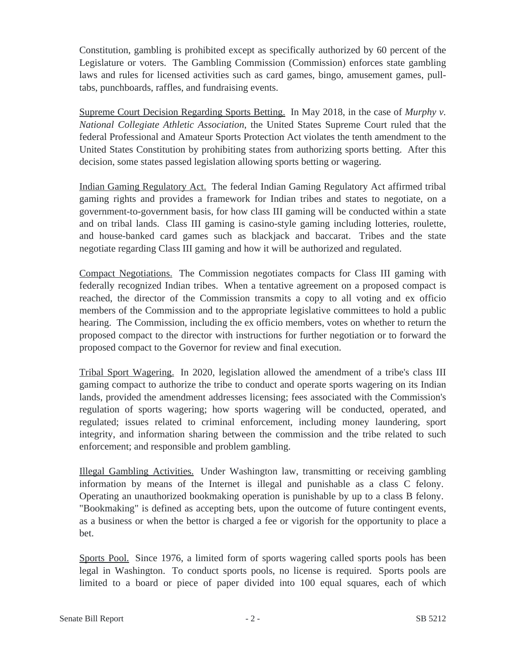Constitution, gambling is prohibited except as specifically authorized by 60 percent of the Legislature or voters. The Gambling Commission (Commission) enforces state gambling laws and rules for licensed activities such as card games, bingo, amusement games, pulltabs, punchboards, raffles, and fundraising events.

Supreme Court Decision Regarding Sports Betting. In May 2018, in the case of *Murphy v. National Collegiate Athletic Association*, the United States Supreme Court ruled that the federal Professional and Amateur Sports Protection Act violates the tenth amendment to the United States Constitution by prohibiting states from authorizing sports betting. After this decision, some states passed legislation allowing sports betting or wagering.

Indian Gaming Regulatory Act. The federal Indian Gaming Regulatory Act affirmed tribal gaming rights and provides a framework for Indian tribes and states to negotiate, on a government-to-government basis, for how class III gaming will be conducted within a state and on tribal lands. Class III gaming is casino-style gaming including lotteries, roulette, and house-banked card games such as blackjack and baccarat. Tribes and the state negotiate regarding Class III gaming and how it will be authorized and regulated.

Compact Negotiations. The Commission negotiates compacts for Class III gaming with federally recognized Indian tribes. When a tentative agreement on a proposed compact is reached, the director of the Commission transmits a copy to all voting and ex officio members of the Commission and to the appropriate legislative committees to hold a public hearing. The Commission, including the ex officio members, votes on whether to return the proposed compact to the director with instructions for further negotiation or to forward the proposed compact to the Governor for review and final execution.

Tribal Sport Wagering. In 2020, legislation allowed the amendment of a tribe's class III gaming compact to authorize the tribe to conduct and operate sports wagering on its Indian lands, provided the amendment addresses licensing; fees associated with the Commission's regulation of sports wagering; how sports wagering will be conducted, operated, and regulated; issues related to criminal enforcement, including money laundering, sport integrity, and information sharing between the commission and the tribe related to such enforcement; and responsible and problem gambling.

Illegal Gambling Activities. Under Washington law, transmitting or receiving gambling information by means of the Internet is illegal and punishable as a class C felony. Operating an unauthorized bookmaking operation is punishable by up to a class B felony. "Bookmaking" is defined as accepting bets, upon the outcome of future contingent events, as a business or when the bettor is charged a fee or vigorish for the opportunity to place a bet.

Sports Pool. Since 1976, a limited form of sports wagering called sports pools has been legal in Washington. To conduct sports pools, no license is required. Sports pools are limited to a board or piece of paper divided into 100 equal squares, each of which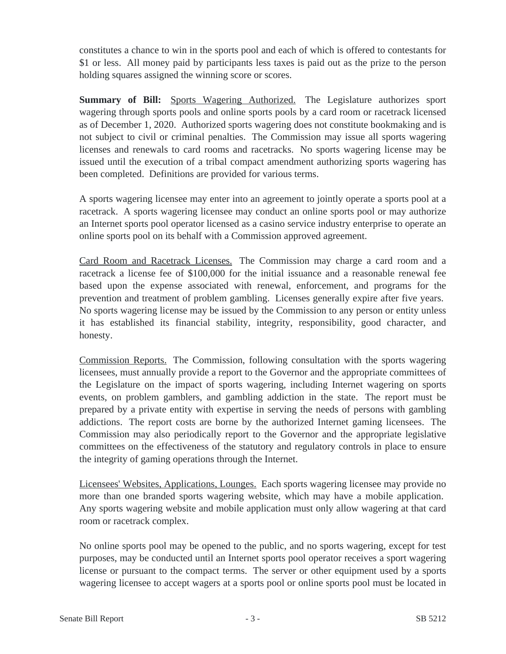constitutes a chance to win in the sports pool and each of which is offered to contestants for \$1 or less. All money paid by participants less taxes is paid out as the prize to the person holding squares assigned the winning score or scores.

**Summary of Bill:** Sports Wagering Authorized. The Legislature authorizes sport wagering through sports pools and online sports pools by a card room or racetrack licensed as of December 1, 2020. Authorized sports wagering does not constitute bookmaking and is not subject to civil or criminal penalties. The Commission may issue all sports wagering licenses and renewals to card rooms and racetracks. No sports wagering license may be issued until the execution of a tribal compact amendment authorizing sports wagering has been completed. Definitions are provided for various terms.

A sports wagering licensee may enter into an agreement to jointly operate a sports pool at a racetrack. A sports wagering licensee may conduct an online sports pool or may authorize an Internet sports pool operator licensed as a casino service industry enterprise to operate an online sports pool on its behalf with a Commission approved agreement.

Card Room and Racetrack Licenses. The Commission may charge a card room and a racetrack a license fee of \$100,000 for the initial issuance and a reasonable renewal fee based upon the expense associated with renewal, enforcement, and programs for the prevention and treatment of problem gambling. Licenses generally expire after five years. No sports wagering license may be issued by the Commission to any person or entity unless it has established its financial stability, integrity, responsibility, good character, and honesty.

Commission Reports. The Commission, following consultation with the sports wagering licensees, must annually provide a report to the Governor and the appropriate committees of the Legislature on the impact of sports wagering, including Internet wagering on sports events, on problem gamblers, and gambling addiction in the state. The report must be prepared by a private entity with expertise in serving the needs of persons with gambling addictions. The report costs are borne by the authorized Internet gaming licensees. The Commission may also periodically report to the Governor and the appropriate legislative committees on the effectiveness of the statutory and regulatory controls in place to ensure the integrity of gaming operations through the Internet.

Licensees' Websites, Applications, Lounges. Each sports wagering licensee may provide no more than one branded sports wagering website, which may have a mobile application. Any sports wagering website and mobile application must only allow wagering at that card room or racetrack complex.

No online sports pool may be opened to the public, and no sports wagering, except for test purposes, may be conducted until an Internet sports pool operator receives a sport wagering license or pursuant to the compact terms. The server or other equipment used by a sports wagering licensee to accept wagers at a sports pool or online sports pool must be located in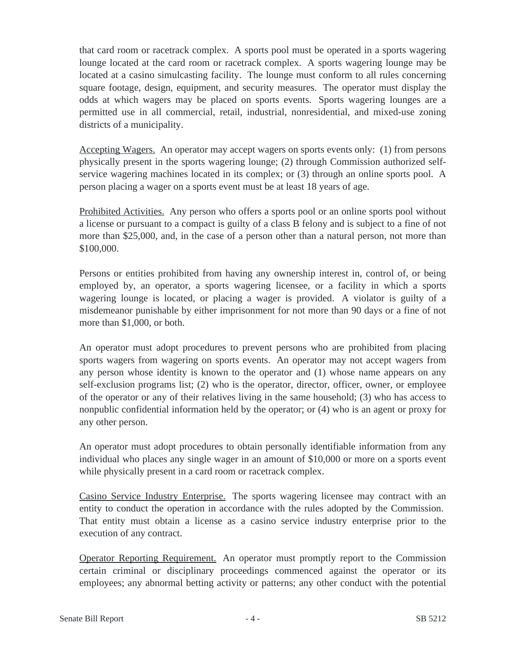that card room or racetrack complex. A sports pool must be operated in a sports wagering lounge located at the card room or racetrack complex. A sports wagering lounge may be located at a casino simulcasting facility. The lounge must conform to all rules concerning square footage, design, equipment, and security measures. The operator must display the odds at which wagers may be placed on sports events. Sports wagering lounges are a permitted use in all commercial, retail, industrial, nonresidential, and mixed-use zoning districts of a municipality.

Accepting Wagers. An operator may accept wagers on sports events only: (1) from persons physically present in the sports wagering lounge; (2) through Commission authorized selfservice wagering machines located in its complex; or (3) through an online sports pool. A person placing a wager on a sports event must be at least 18 years of age.

Prohibited Activities. Any person who offers a sports pool or an online sports pool without a license or pursuant to a compact is guilty of a class B felony and is subject to a fine of not more than \$25,000, and, in the case of a person other than a natural person, not more than \$100,000.

Persons or entities prohibited from having any ownership interest in, control of, or being employed by, an operator, a sports wagering licensee, or a facility in which a sports wagering lounge is located, or placing a wager is provided. A violator is guilty of a misdemeanor punishable by either imprisonment for not more than 90 days or a fine of not more than \$1,000, or both.

An operator must adopt procedures to prevent persons who are prohibited from placing sports wagers from wagering on sports events. An operator may not accept wagers from any person whose identity is known to the operator and (1) whose name appears on any self-exclusion programs list; (2) who is the operator, director, officer, owner, or employee of the operator or any of their relatives living in the same household; (3) who has access to nonpublic confidential information held by the operator; or (4) who is an agent or proxy for any other person.

An operator must adopt procedures to obtain personally identifiable information from any individual who places any single wager in an amount of \$10,000 or more on a sports event while physically present in a card room or racetrack complex.

Casino Service Industry Enterprise. The sports wagering licensee may contract with an entity to conduct the operation in accordance with the rules adopted by the Commission. That entity must obtain a license as a casino service industry enterprise prior to the execution of any contract.

Operator Reporting Requirement. An operator must promptly report to the Commission certain criminal or disciplinary proceedings commenced against the operator or its employees; any abnormal betting activity or patterns; any other conduct with the potential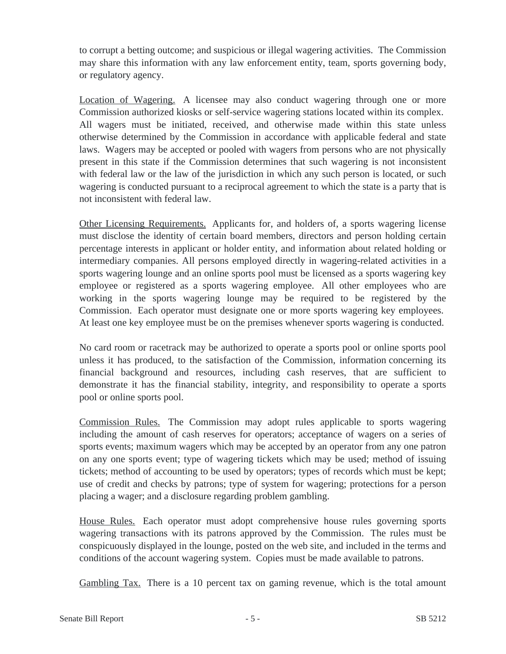to corrupt a betting outcome; and suspicious or illegal wagering activities. The Commission may share this information with any law enforcement entity, team, sports governing body, or regulatory agency.

Location of Wagering. A licensee may also conduct wagering through one or more Commission authorized kiosks or self-service wagering stations located within its complex. All wagers must be initiated, received, and otherwise made within this state unless otherwise determined by the Commission in accordance with applicable federal and state laws. Wagers may be accepted or pooled with wagers from persons who are not physically present in this state if the Commission determines that such wagering is not inconsistent with federal law or the law of the jurisdiction in which any such person is located, or such wagering is conducted pursuant to a reciprocal agreement to which the state is a party that is not inconsistent with federal law.

Other Licensing Requirements. Applicants for, and holders of, a sports wagering license must disclose the identity of certain board members, directors and person holding certain percentage interests in applicant or holder entity, and information about related holding or intermediary companies. All persons employed directly in wagering-related activities in a sports wagering lounge and an online sports pool must be licensed as a sports wagering key employee or registered as a sports wagering employee. All other employees who are working in the sports wagering lounge may be required to be registered by the Commission. Each operator must designate one or more sports wagering key employees. At least one key employee must be on the premises whenever sports wagering is conducted.

No card room or racetrack may be authorized to operate a sports pool or online sports pool unless it has produced, to the satisfaction of the Commission, information concerning its financial background and resources, including cash reserves, that are sufficient to demonstrate it has the financial stability, integrity, and responsibility to operate a sports pool or online sports pool.

Commission Rules. The Commission may adopt rules applicable to sports wagering including the amount of cash reserves for operators; acceptance of wagers on a series of sports events; maximum wagers which may be accepted by an operator from any one patron on any one sports event; type of wagering tickets which may be used; method of issuing tickets; method of accounting to be used by operators; types of records which must be kept; use of credit and checks by patrons; type of system for wagering; protections for a person placing a wager; and a disclosure regarding problem gambling.

House Rules. Each operator must adopt comprehensive house rules governing sports wagering transactions with its patrons approved by the Commission. The rules must be conspicuously displayed in the lounge, posted on the web site, and included in the terms and conditions of the account wagering system. Copies must be made available to patrons.

Gambling Tax. There is a 10 percent tax on gaming revenue, which is the total amount